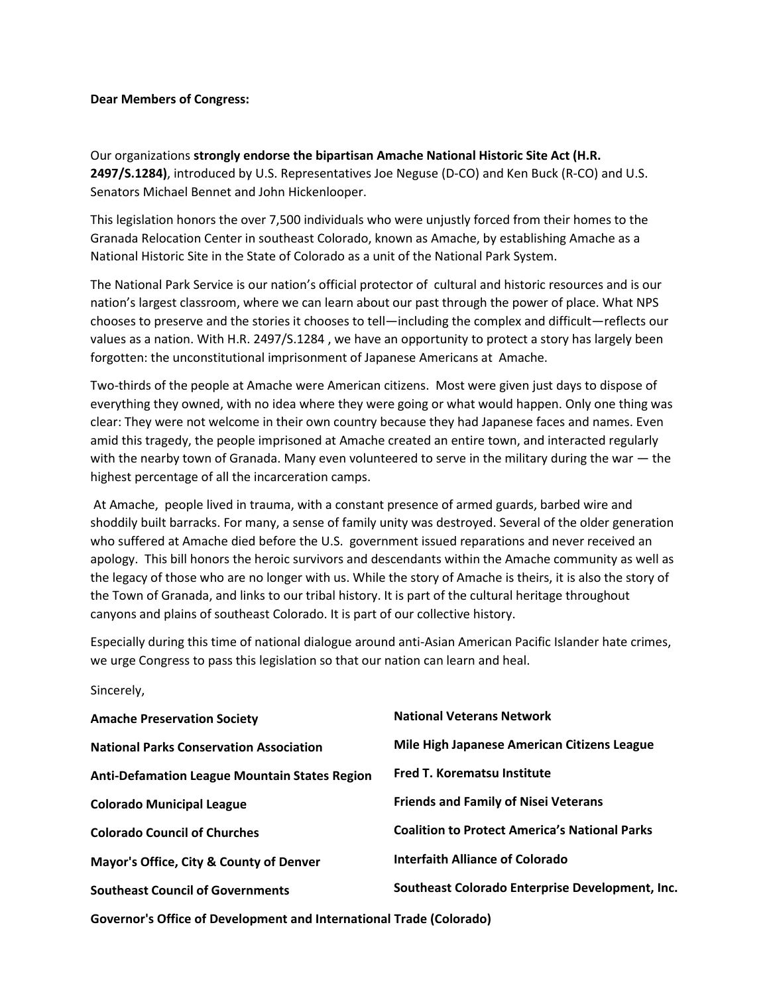## **Dear Members of Congress:**

Our organizations **strongly endorse the bipartisan Amache National Historic Site Act (H.R. 2497/S.1284)**, introduced by U.S. Representatives Joe Neguse (D-CO) and Ken Buck (R-CO) and U.S. Senators Michael Bennet and John Hickenlooper.

This legislation honors the over 7,500 individuals who were unjustly forced from their homes to the Granada Relocation Center in southeast Colorado, known as Amache, by establishing Amache as a National Historic Site in the State of Colorado as a unit of the National Park System.

The National Park Service is our nation's official protector of cultural and historic resources and is our nation's largest classroom, where we can learn about our past through the power of place. What NPS chooses to preserve and the stories it chooses to tell—including the complex and difficult—reflects our values as a nation. With H.R. 2497/S.1284 , we have an opportunity to protect a story has largely been forgotten: the unconstitutional imprisonment of Japanese Americans at Amache.

Two-thirds of the people at Amache were American citizens. Most were given just days to dispose of everything they owned, with no idea where they were going or what would happen. Only one thing was clear: They were not welcome in their own country because they had Japanese faces and names. Even amid this tragedy, the people imprisoned at Amache created an entire town, and interacted regularly with the nearby town of Granada. Many even volunteered to serve in the military during the war - the highest percentage of all the incarceration camps.

At Amache, people lived in trauma, with a constant presence of armed guards, barbed wire and shoddily built barracks. For many, a sense of family unity was destroyed. Several of the older generation who suffered at Amache died before the U.S. government issued reparations and never received an apology. This bill honors the heroic survivors and descendants within the Amache community as well as the legacy of those who are no longer with us. While the story of Amache is theirs, it is also the story of the Town of Granada, and links to our tribal history. It is part of the cultural heritage throughout canyons and plains of southeast Colorado. It is part of our collective history.

Especially during this time of national dialogue around anti-Asian American Pacific Islander hate crimes, we urge Congress to pass this legislation so that our nation can learn and heal.

| Sincerely, |  |
|------------|--|
|------------|--|

| <b>Amache Preservation Society</b>                                  | <b>National Veterans Network</b>                     |  |
|---------------------------------------------------------------------|------------------------------------------------------|--|
| <b>National Parks Conservation Association</b>                      | Mile High Japanese American Citizens League          |  |
| <b>Anti-Defamation League Mountain States Region</b>                | <b>Fred T. Korematsu Institute</b>                   |  |
| <b>Colorado Municipal League</b>                                    | <b>Friends and Family of Nisei Veterans</b>          |  |
| <b>Colorado Council of Churches</b>                                 | <b>Coalition to Protect America's National Parks</b> |  |
| Mayor's Office, City & County of Denver                             | Interfaith Alliance of Colorado                      |  |
| <b>Southeast Council of Governments</b>                             | Southeast Colorado Enterprise Development, Inc.      |  |
| Governor's Office of Development and International Trade (Colorado) |                                                      |  |